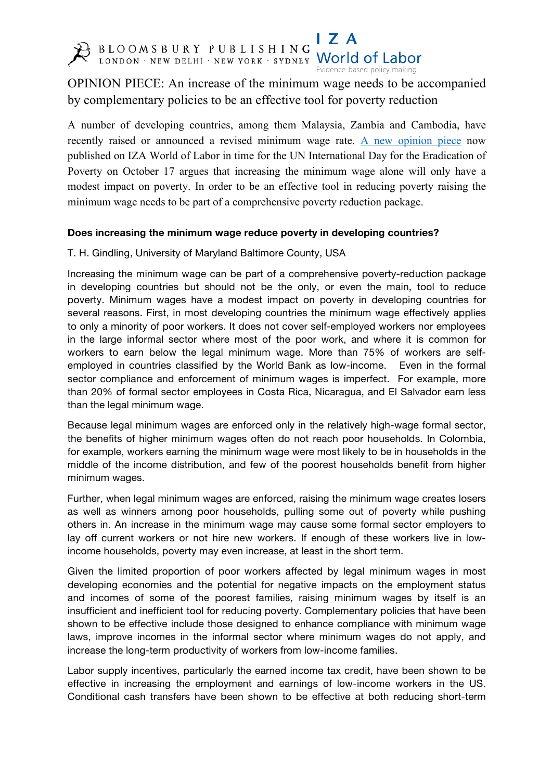

I 7 A BLOOMSBURY PUBLISHING LAND COMPOSED PUBLISHING

Evidence-based policy making

OPINION PIECE: An increase of the minimum wage needs to be accompanied by complementary policies to be an effective tool for poverty reduction

A number of developing countries, among them Malaysia, Zambia and Cambodia, have recently raised or announced a revised minimum wage rate. A new opinion piece now published on IZA World of Labor in time for the UN International Day for the Eradication of Poverty on October 17 argues that increasing the minimum wage alone will only have a modest impact on poverty. In order to be an effective tool in reducing poverty raising the minimum wage needs to be part of a comprehensive poverty reduction package.

## **Does increasing the minimum wage reduce poverty in developing countries?**

T. H. Gindling, University of Maryland Baltimore County, USA

Increasing the minimum wage can be part of a comprehensive poverty-reduction package in developing countries but should not be the only, or even the main, tool to reduce poverty. Minimum wages have a modest impact on poverty in developing countries for several reasons. First, in most developing countries the minimum wage effectively applies to only a minority of poor workers. It does not cover self-employed workers nor employees in the large informal sector where most of the poor work, and where it is common for workers to earn below the legal minimum wage. More than 75% of workers are selfemployed in countries classified by the World Bank as low-income. Even in the formal sector compliance and enforcement of minimum wages is imperfect. For example, more than 20% of formal sector employees in Costa Rica, Nicaragua, and El Salvador earn less than the legal minimum wage.

Because legal minimum wages are enforced only in the relatively high-wage formal sector, the benefits of higher minimum wages often do not reach poor households. In Colombia, for example, workers earning the minimum wage were most likely to be in households in the middle of the income distribution, and few of the poorest households benefit from higher minimum wages.

Further, when legal minimum wages are enforced, raising the minimum wage creates losers as well as winners among poor households, pulling some out of poverty while pushing others in. An increase in the minimum wage may cause some formal sector employers to lay off current workers or not hire new workers. If enough of these workers live in lowincome households, poverty may even increase, at least in the short term.

Given the limited proportion of poor workers affected by legal minimum wages in most developing economies and the potential for negative impacts on the employment status and incomes of some of the poorest families, raising minimum wages by itself is an insufficient and inefficient tool for reducing poverty. Complementary policies that have been shown to be effective include those designed to enhance compliance with minimum wage laws, improve incomes in the informal sector where minimum wages do not apply, and increase the long-term productivity of workers from low-income families.

Labor supply incentives, particularly the earned income tax credit, have been shown to be effective in increasing the employment and earnings of low-income workers in the US. Conditional cash transfers have been shown to be effective at both reducing short-term